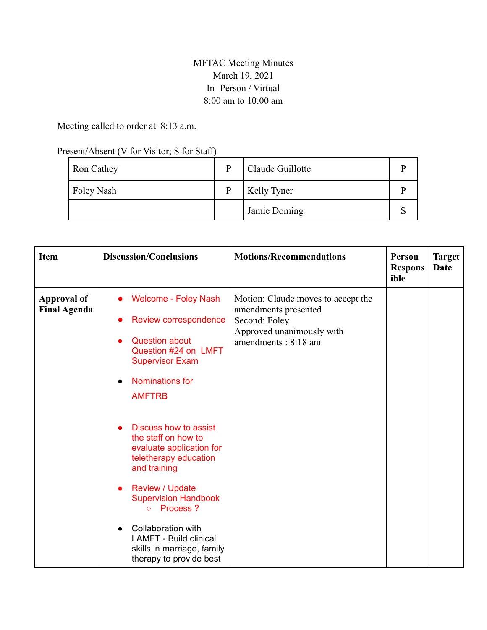## MFTAC Meeting Minutes March 19, 2021 In-Person / Virtual 8:00 am to 10:00 am

## Meeting called to order at 8:13 a.m.

## Present/Absent (V for Visitor; S for Staff)

| Ron Cathey | Þ | Claude Guillotte   |  |
|------------|---|--------------------|--|
| Foley Nash | D | <b>Kelly Tyner</b> |  |
|            |   | Jamie Doming       |  |

| <b>Item</b>                               | <b>Discussion/Conclusions</b>                                                                                                                                                                                                                                                                                                                                                                                                                                                             | <b>Motions/Recommendations</b>                                                                                                  | Person<br><b>Respons</b><br>ible | <b>Target</b><br>Date |
|-------------------------------------------|-------------------------------------------------------------------------------------------------------------------------------------------------------------------------------------------------------------------------------------------------------------------------------------------------------------------------------------------------------------------------------------------------------------------------------------------------------------------------------------------|---------------------------------------------------------------------------------------------------------------------------------|----------------------------------|-----------------------|
| <b>Approval of</b><br><b>Final Agenda</b> | <b>Welcome - Foley Nash</b><br>Review correspondence<br><b>Question about</b><br>Question #24 on LMFT<br><b>Supervisor Exam</b><br>Nominations for<br><b>AMFTRB</b><br>Discuss how to assist<br>the staff on how to<br>evaluate application for<br>teletherapy education<br>and training<br><b>Review / Update</b><br><b>Supervision Handbook</b><br>Process ?<br>$\circ$<br>Collaboration with<br><b>LAMFT - Build clinical</b><br>skills in marriage, family<br>therapy to provide best | Motion: Claude moves to accept the<br>amendments presented<br>Second: Foley<br>Approved unanimously with<br>amendments: 8:18 am |                                  |                       |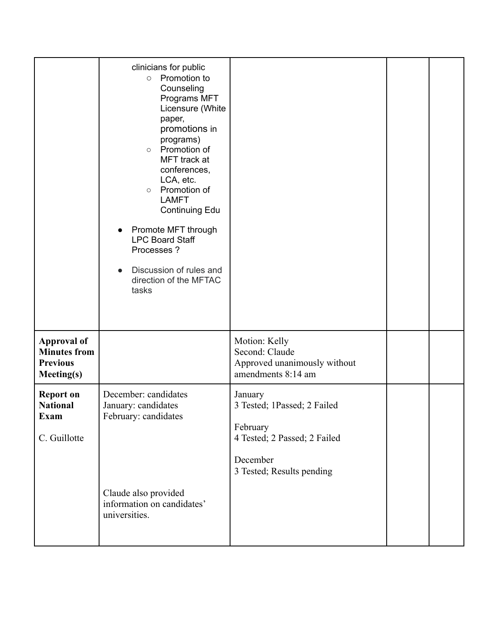|                                                                                   | clinicians for public<br>Promotion to<br>$\circ$<br>Counseling<br>Programs MFT<br>Licensure (White<br>paper,<br>promotions in<br>programs)<br>Promotion of<br>$\circ$<br>MFT track at<br>conferences,<br>LCA, etc.<br>Promotion of<br>$\circ$<br><b>LAMFT</b><br><b>Continuing Edu</b><br>Promote MFT through<br>$\bullet$<br><b>LPC Board Staff</b><br>Processes ?<br>Discussion of rules and<br>direction of the MFTAC<br>tasks |                                                                                                                             |  |
|-----------------------------------------------------------------------------------|-----------------------------------------------------------------------------------------------------------------------------------------------------------------------------------------------------------------------------------------------------------------------------------------------------------------------------------------------------------------------------------------------------------------------------------|-----------------------------------------------------------------------------------------------------------------------------|--|
| <b>Approval of</b><br><b>Minutes from</b><br><b>Previous</b><br><b>Meeting(s)</b> |                                                                                                                                                                                                                                                                                                                                                                                                                                   | Motion: Kelly<br>Second: Claude<br>Approved unanimously without<br>amendments 8:14 am                                       |  |
| <b>Report on</b><br><b>National</b><br><b>Exam</b><br>C. Guillotte                | December: candidates<br>January: candidates<br>February: candidates                                                                                                                                                                                                                                                                                                                                                               | January<br>3 Tested; 1Passed; 2 Failed<br>February<br>4 Tested; 2 Passed; 2 Failed<br>December<br>3 Tested; Results pending |  |
|                                                                                   | Claude also provided<br>information on candidates'<br>universities.                                                                                                                                                                                                                                                                                                                                                               |                                                                                                                             |  |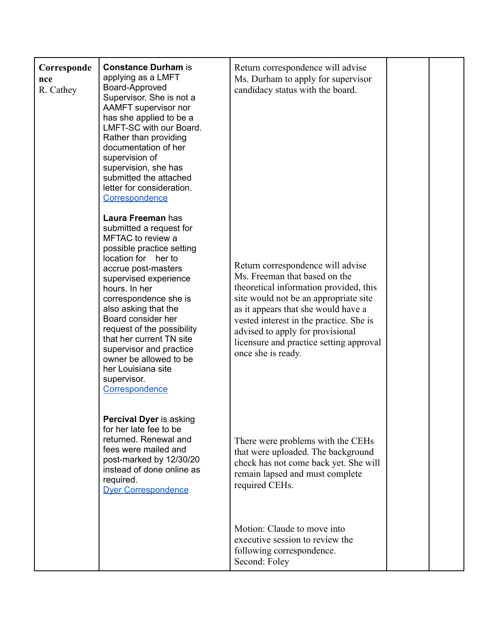| Corresponde<br>nce<br>R. Cathey | <b>Constance Durham is</b><br>applying as a LMFT<br>Board-Approved<br>Supervisor. She is not a<br>AAMFT supervisor nor<br>has she applied to be a<br>LMFT-SC with our Board.<br>Rather than providing<br>documentation of her<br>supervision of<br>supervision, she has<br>submitted the attached<br>letter for consideration.<br>Correspondence                                                                                    | Return correspondence will advise<br>Ms. Durham to apply for supervisor<br>candidacy status with the board.                                                                                                                                                                                                                                  |  |
|---------------------------------|-------------------------------------------------------------------------------------------------------------------------------------------------------------------------------------------------------------------------------------------------------------------------------------------------------------------------------------------------------------------------------------------------------------------------------------|----------------------------------------------------------------------------------------------------------------------------------------------------------------------------------------------------------------------------------------------------------------------------------------------------------------------------------------------|--|
|                                 | Laura Freeman has<br>submitted a request for<br>MFTAC to review a<br>possible practice setting<br>location for her to<br>accrue post-masters<br>supervised experience<br>hours. In her<br>correspondence she is<br>also asking that the<br>Board consider her<br>request of the possibility<br>that her current TN site<br>supervisor and practice<br>owner be allowed to be<br>her Louisiana site<br>supervisor.<br>Correspondence | Return correspondence will advise<br>Ms. Freeman that based on the<br>theoretical information provided, this<br>site would not be an appropriate site<br>as it appears that she would have a<br>vested interest in the practice. She is<br>advised to apply for provisional<br>licensure and practice setting approval<br>once she is ready. |  |
|                                 | Percival Dyer is asking<br>for her late fee to be<br>returned. Renewal and<br>fees were mailed and<br>post-marked by 12/30/20<br>instead of done online as<br>required.<br><b>Dyer Correspondence</b>                                                                                                                                                                                                                               | There were problems with the CEHs<br>that were uploaded. The background<br>check has not come back yet. She will<br>remain lapsed and must complete<br>required CEHs.                                                                                                                                                                        |  |
|                                 |                                                                                                                                                                                                                                                                                                                                                                                                                                     | Motion: Claude to move into<br>executive session to review the<br>following correspondence.<br>Second: Foley                                                                                                                                                                                                                                 |  |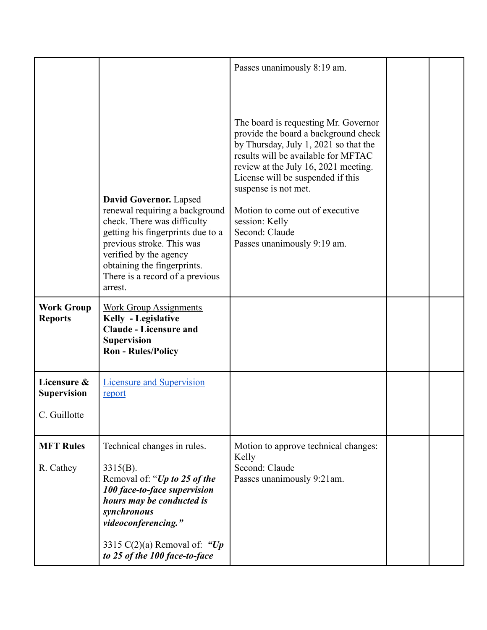|                                                   |                                                                                                                                                                                                                                                                         | Passes unanimously 8:19 am.                                                                                                                                                                                                                                                                                                                                             |  |
|---------------------------------------------------|-------------------------------------------------------------------------------------------------------------------------------------------------------------------------------------------------------------------------------------------------------------------------|-------------------------------------------------------------------------------------------------------------------------------------------------------------------------------------------------------------------------------------------------------------------------------------------------------------------------------------------------------------------------|--|
|                                                   | <b>David Governor.</b> Lapsed<br>renewal requiring a background<br>check. There was difficulty<br>getting his fingerprints due to a<br>previous stroke. This was<br>verified by the agency<br>obtaining the fingerprints.<br>There is a record of a previous<br>arrest. | The board is requesting Mr. Governor<br>provide the board a background check<br>by Thursday, July 1, 2021 so that the<br>results will be available for MFTAC<br>review at the July 16, 2021 meeting.<br>License will be suspended if this<br>suspense is not met.<br>Motion to come out of executive<br>session: Kelly<br>Second: Claude<br>Passes unanimously 9:19 am. |  |
| <b>Work Group</b><br><b>Reports</b>               | <b>Work Group Assignments</b><br>Kelly - Legislative<br><b>Claude - Licensure and</b><br><b>Supervision</b><br><b>Ron - Rules/Policy</b>                                                                                                                                |                                                                                                                                                                                                                                                                                                                                                                         |  |
| Licensure &<br><b>Supervision</b><br>C. Guillotte | <b>Licensure and Supervision</b><br>report                                                                                                                                                                                                                              |                                                                                                                                                                                                                                                                                                                                                                         |  |
|                                                   |                                                                                                                                                                                                                                                                         |                                                                                                                                                                                                                                                                                                                                                                         |  |
| <b>MFT Rules</b><br>R. Cathey                     | Technical changes in rules.<br>$3315(B)$ .<br>Removal of: "Up to 25 of the<br>100 face-to-face supervision<br>hours may be conducted is<br>synchronous<br>videoconferencing."                                                                                           | Motion to approve technical changes:<br>Kelly<br>Second: Claude<br>Passes unanimously 9:21am.                                                                                                                                                                                                                                                                           |  |
|                                                   | 3315 C(2)(a) Removal of: "Up<br>to 25 of the 100 face-to-face                                                                                                                                                                                                           |                                                                                                                                                                                                                                                                                                                                                                         |  |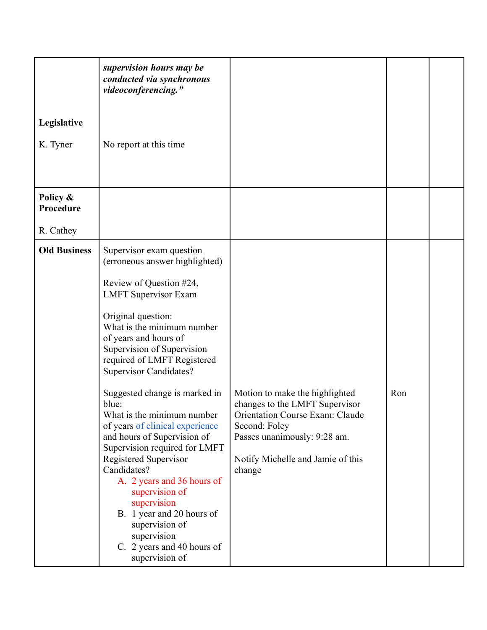| Legislative<br>K. Tyner            | supervision hours may be<br>conducted via synchronous<br>videoconferencing."<br>No report at this time                                                                                                                                                                                                                                                                                                                                                                                                                                                                                                                                                                                          |                                                                                                                                                                                                            |     |  |
|------------------------------------|-------------------------------------------------------------------------------------------------------------------------------------------------------------------------------------------------------------------------------------------------------------------------------------------------------------------------------------------------------------------------------------------------------------------------------------------------------------------------------------------------------------------------------------------------------------------------------------------------------------------------------------------------------------------------------------------------|------------------------------------------------------------------------------------------------------------------------------------------------------------------------------------------------------------|-----|--|
| Policy &<br>Procedure<br>R. Cathey |                                                                                                                                                                                                                                                                                                                                                                                                                                                                                                                                                                                                                                                                                                 |                                                                                                                                                                                                            |     |  |
| <b>Old Business</b>                | Supervisor exam question<br>(erroneous answer highlighted)<br>Review of Question #24,<br><b>LMFT</b> Supervisor Exam<br>Original question:<br>What is the minimum number<br>of years and hours of<br>Supervision of Supervision<br>required of LMFT Registered<br><b>Supervisor Candidates?</b><br>Suggested change is marked in<br>blue:<br>What is the minimum number<br>of years of clinical experience<br>and hours of Supervision of<br>Supervision required for LMFT<br>Registered Supervisor<br>Candidates?<br>A. 2 years and 36 hours of<br>supervision of<br>supervision<br>B. 1 year and 20 hours of<br>supervision of<br>supervision<br>C. 2 years and 40 hours of<br>supervision of | Motion to make the highlighted<br>changes to the LMFT Supervisor<br><b>Orientation Course Exam: Claude</b><br>Second: Foley<br>Passes unanimously: 9:28 am.<br>Notify Michelle and Jamie of this<br>change | Ron |  |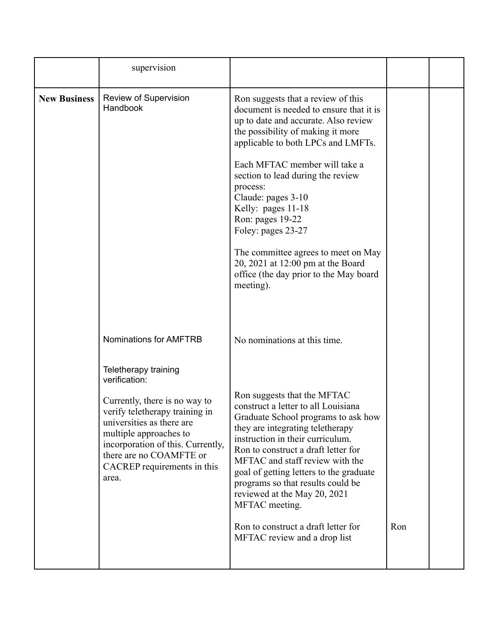|                     | supervision                                                                                                                                                                                                                    |                                                                                                                                                                                                                                                                                                                                                                                                                                                                                                             |     |  |
|---------------------|--------------------------------------------------------------------------------------------------------------------------------------------------------------------------------------------------------------------------------|-------------------------------------------------------------------------------------------------------------------------------------------------------------------------------------------------------------------------------------------------------------------------------------------------------------------------------------------------------------------------------------------------------------------------------------------------------------------------------------------------------------|-----|--|
| <b>New Business</b> | Review of Supervision<br>Handbook                                                                                                                                                                                              | Ron suggests that a review of this<br>document is needed to ensure that it is<br>up to date and accurate. Also review<br>the possibility of making it more<br>applicable to both LPCs and LMFTs.<br>Each MFTAC member will take a<br>section to lead during the review<br>process:<br>Claude: pages 3-10<br>Kelly: pages 11-18<br>Ron: pages 19-22<br>Foley: pages 23-27<br>The committee agrees to meet on May<br>20, 2021 at 12:00 pm at the Board<br>office (the day prior to the May board<br>meeting). |     |  |
|                     | Nominations for AMFTRB<br>Teletherapy training<br>verification:                                                                                                                                                                | No nominations at this time.<br>Ron suggests that the MFTAC                                                                                                                                                                                                                                                                                                                                                                                                                                                 |     |  |
|                     | Currently, there is no way to<br>verify teletherapy training in<br>universities as there are<br>multiple approaches to<br>incorporation of this. Currently,<br>there are no COAMFTE or<br>CACREP requirements in this<br>area. | construct a letter to all Louisiana<br>Graduate School programs to ask how<br>they are integrating teletherapy<br>instruction in their curriculum.<br>Ron to construct a draft letter for<br>MFTAC and staff review with the<br>goal of getting letters to the graduate<br>programs so that results could be<br>reviewed at the May 20, 2021<br>MFTAC meeting.                                                                                                                                              |     |  |
|                     |                                                                                                                                                                                                                                | Ron to construct a draft letter for<br>MFTAC review and a drop list                                                                                                                                                                                                                                                                                                                                                                                                                                         | Ron |  |